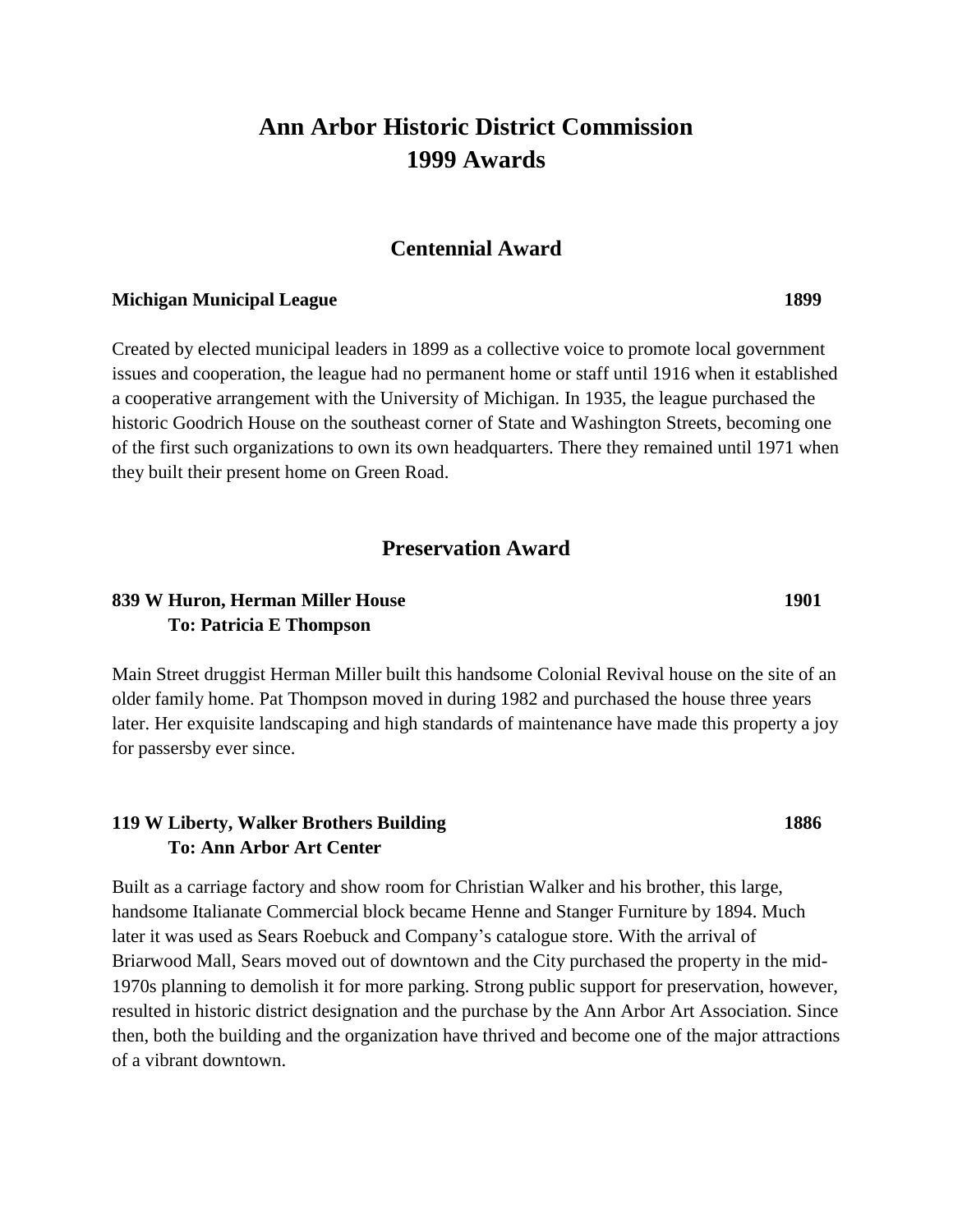# **Ann Arbor Historic District Commission 1999 Awards**

#### **Centennial Award**

#### **Michigan Municipal League 1899**

Created by elected municipal leaders in 1899 as a collective voice to promote local government issues and cooperation, the league had no permanent home or staff until 1916 when it established a cooperative arrangement with the University of Michigan. In 1935, the league purchased the historic Goodrich House on the southeast corner of State and Washington Streets, becoming one of the first such organizations to own its own headquarters. There they remained until 1971 when they built their present home on Green Road.

## **Preservation Award**

#### **839 W Huron, Herman Miller House 1901 To: Patricia E Thompson**

Main Street druggist Herman Miller built this handsome Colonial Revival house on the site of an older family home. Pat Thompson moved in during 1982 and purchased the house three years later. Her exquisite landscaping and high standards of maintenance have made this property a joy for passersby ever since.

#### **119 W Liberty, Walker Brothers Building 1886 To: Ann Arbor Art Center**

Built as a carriage factory and show room for Christian Walker and his brother, this large, handsome Italianate Commercial block became Henne and Stanger Furniture by 1894. Much later it was used as Sears Roebuck and Company's catalogue store. With the arrival of Briarwood Mall, Sears moved out of downtown and the City purchased the property in the mid-1970s planning to demolish it for more parking. Strong public support for preservation, however, resulted in historic district designation and the purchase by the Ann Arbor Art Association. Since then, both the building and the organization have thrived and become one of the major attractions of a vibrant downtown.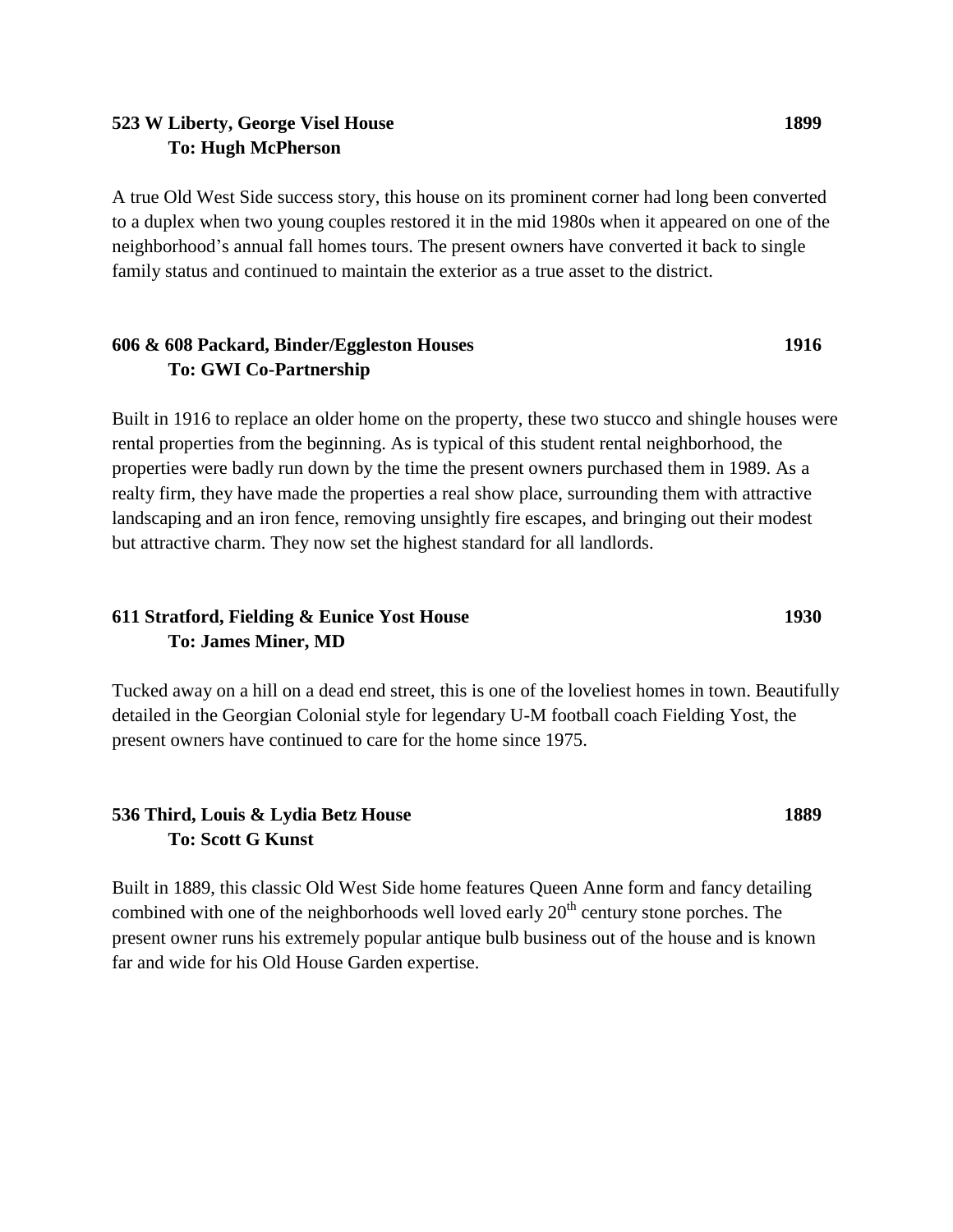#### **523 W Liberty, George Visel House 1899 To: Hugh McPherson**

A true Old West Side success story, this house on its prominent corner had long been converted to a duplex when two young couples restored it in the mid 1980s when it appeared on one of the neighborhood's annual fall homes tours. The present owners have converted it back to single family status and continued to maintain the exterior as a true asset to the district.

#### **606 & 608 Packard, Binder/Eggleston Houses 1916 To: GWI Co-Partnership**

Built in 1916 to replace an older home on the property, these two stucco and shingle houses were rental properties from the beginning. As is typical of this student rental neighborhood, the properties were badly run down by the time the present owners purchased them in 1989. As a realty firm, they have made the properties a real show place, surrounding them with attractive landscaping and an iron fence, removing unsightly fire escapes, and bringing out their modest but attractive charm. They now set the highest standard for all landlords.

#### **611 Stratford, Fielding & Eunice Yost House 1930 To: James Miner, MD**

Tucked away on a hill on a dead end street, this is one of the loveliest homes in town. Beautifully detailed in the Georgian Colonial style for legendary U-M football coach Fielding Yost, the present owners have continued to care for the home since 1975.

### **536 Third, Louis & Lydia Betz House 1889 To: Scott G Kunst**

Built in 1889, this classic Old West Side home features Queen Anne form and fancy detailing combined with one of the neighborhoods well loved early  $20<sup>th</sup>$  century stone porches. The present owner runs his extremely popular antique bulb business out of the house and is known far and wide for his Old House Garden expertise.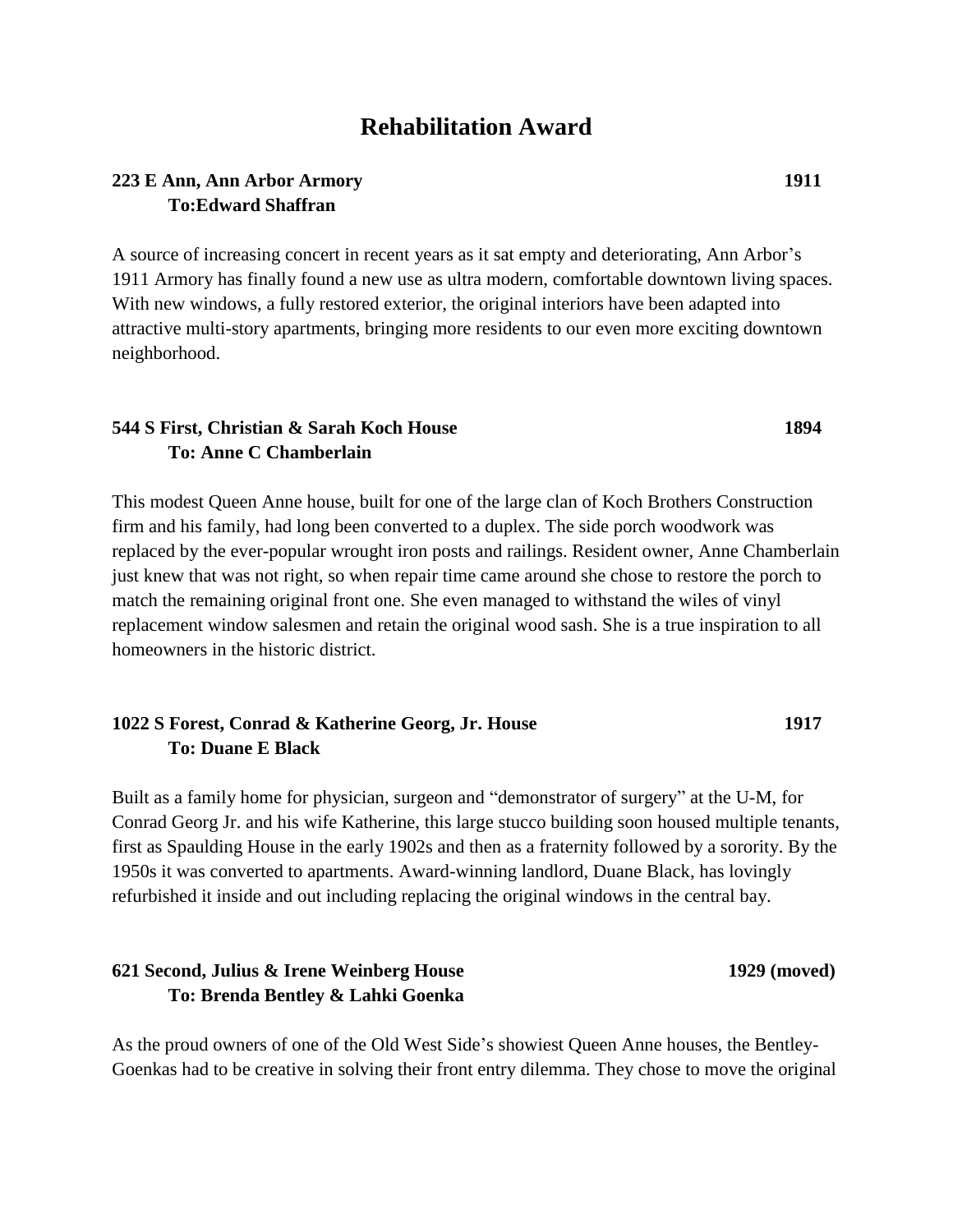## **Rehabilitation Award**

#### **223 E Ann, Ann Arbor Armory 1911 To:Edward Shaffran**

A source of increasing concert in recent years as it sat empty and deteriorating, Ann Arbor's 1911 Armory has finally found a new use as ultra modern, comfortable downtown living spaces. With new windows, a fully restored exterior, the original interiors have been adapted into attractive multi-story apartments, bringing more residents to our even more exciting downtown neighborhood.

#### **544 S First, Christian & Sarah Koch House 1894 To: Anne C Chamberlain**

This modest Queen Anne house, built for one of the large clan of Koch Brothers Construction firm and his family, had long been converted to a duplex. The side porch woodwork was replaced by the ever-popular wrought iron posts and railings. Resident owner, Anne Chamberlain just knew that was not right, so when repair time came around she chose to restore the porch to match the remaining original front one. She even managed to withstand the wiles of vinyl replacement window salesmen and retain the original wood sash. She is a true inspiration to all homeowners in the historic district.

#### **1022 S Forest, Conrad & Katherine Georg, Jr. House 1917 To: Duane E Black**

Built as a family home for physician, surgeon and "demonstrator of surgery" at the U-M, for Conrad Georg Jr. and his wife Katherine, this large stucco building soon housed multiple tenants, first as Spaulding House in the early 1902s and then as a fraternity followed by a sorority. By the 1950s it was converted to apartments. Award-winning landlord, Duane Black, has lovingly refurbished it inside and out including replacing the original windows in the central bay.

### **621 Second, Julius & Irene Weinberg House 1929 (moved) To: Brenda Bentley & Lahki Goenka**

As the proud owners of one of the Old West Side's showiest Queen Anne houses, the Bentley-Goenkas had to be creative in solving their front entry dilemma. They chose to move the original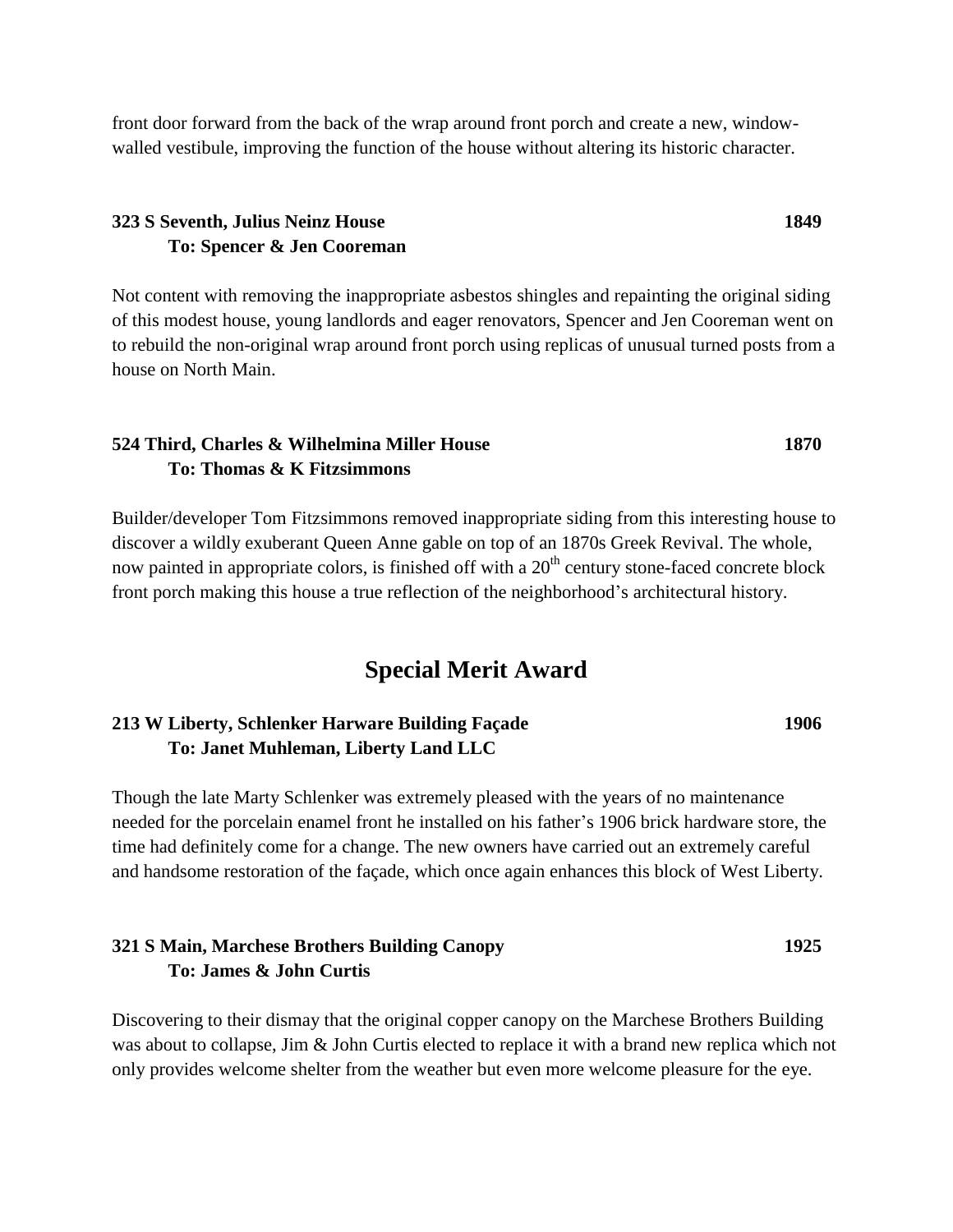front door forward from the back of the wrap around front porch and create a new, windowwalled vestibule, improving the function of the house without altering its historic character.

#### **323 S Seventh, Julius Neinz House 1849 To: Spencer & Jen Cooreman**

Not content with removing the inappropriate asbestos shingles and repainting the original siding of this modest house, young landlords and eager renovators, Spencer and Jen Cooreman went on to rebuild the non-original wrap around front porch using replicas of unusual turned posts from a house on North Main.

#### **524 Third, Charles & Wilhelmina Miller House 1870 To: Thomas & K Fitzsimmons**

Builder/developer Tom Fitzsimmons removed inappropriate siding from this interesting house to discover a wildly exuberant Queen Anne gable on top of an 1870s Greek Revival. The whole, now painted in appropriate colors, is finished off with a  $20<sup>th</sup>$  century stone-faced concrete block front porch making this house a true reflection of the neighborhood's architectural history.

## **Special Merit Award**

#### **213 W Liberty, Schlenker Harware Building Façade 1906 To: Janet Muhleman, Liberty Land LLC**

Though the late Marty Schlenker was extremely pleased with the years of no maintenance needed for the porcelain enamel front he installed on his father's 1906 brick hardware store, the time had definitely come for a change. The new owners have carried out an extremely careful and handsome restoration of the façade, which once again enhances this block of West Liberty.

#### **321 S Main, Marchese Brothers Building Canopy 1925 To: James & John Curtis**

Discovering to their dismay that the original copper canopy on the Marchese Brothers Building was about to collapse, Jim & John Curtis elected to replace it with a brand new replica which not only provides welcome shelter from the weather but even more welcome pleasure for the eye.